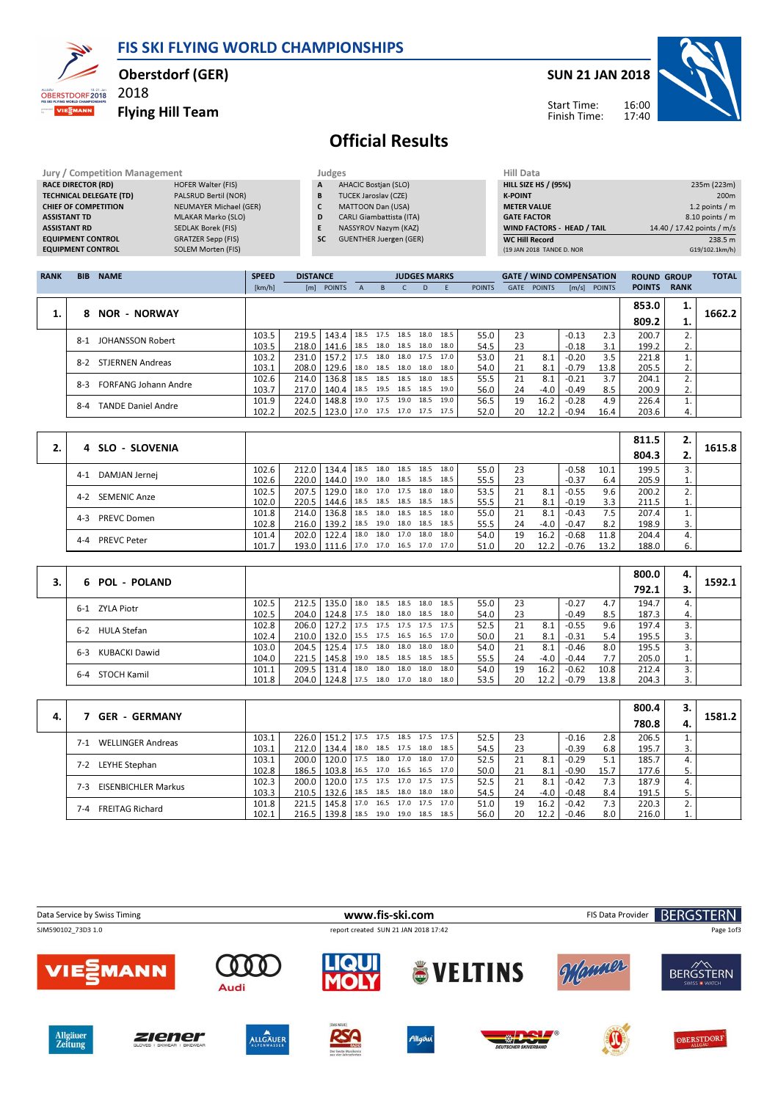FIS SKI FLYING WORLD CHAMPIONSHIPS



## Oberstdorf (GER)

Flying Hill Team

2018

SUN 21 JAN 2018



Start Time: Finish Time:

## Official Results

| Jury / Competition Management  |                        |           | Judges                          | Hill Data                         |                            |
|--------------------------------|------------------------|-----------|---------------------------------|-----------------------------------|----------------------------|
| <b>RACE DIRECTOR (RD)</b>      | HOFER Walter (FIS)     | A         | <b>AHACIC Bostjan (SLO)</b>     | <b>HILL SIZE HS / (95%)</b>       | 235m (223m)                |
| <b>TECHNICAL DELEGATE (TD)</b> | PALSRUD Bertil (NOR)   | B         | TUCEK Jaroslav (CZE)            | <b>K-POINT</b>                    | 200 <sub>m</sub>           |
| <b>CHIEF OF COMPETITION</b>    | NEUMAYER Michael (GER) |           | MATTOON Dan (USA)               | <b>METER VALUE</b>                | 1.2 points $/m$            |
| <b>ASSISTANT TD</b>            | MLAKAR Marko (SLO)     | D         | <b>CARLI Giambattista (ITA)</b> | <b>GATE FACTOR</b>                | $8.10$ points / m          |
| <b>ASSISTANT RD</b>            | SEDLAK Borek (FIS)     |           | NASSYROV Nazym (KAZ)            | <b>WIND FACTORS - HEAD / TAIL</b> | 14.40 / 17.42 points / m/s |
| <b>EQUIPMENT CONTROL</b>       | GRATZER Sepp (FIS)     | <b>SC</b> | <b>GUENTHER Juergen (GER)</b>   | <b>WC Hill Record</b>             | 238.5 m                    |
| <b>EQUIPMENT CONTROL</b>       | SOLEM Morten (FIS)     |           |                                 | (19 JAN 2018 TANDE D. NOR         | G19/102.1km/h)             |
|                                |                        |           |                                 |                                   |                            |

| <b>RANK</b><br><b>BIB</b><br><b>NAME</b> |                                      |  | <b>SPEED</b> | <b>DISTANCE</b><br><b>JUDGES MARKS</b> |            |              |                     |      |      |      | <b>GATE / WIND COMPENSATION</b> |             | <b>ROUND GROUP</b> |         | <b>TOTAL</b>   |               |             |        |
|------------------------------------------|--------------------------------------|--|--------------|----------------------------------------|------------|--------------|---------------------|------|------|------|---------------------------------|-------------|--------------------|---------|----------------|---------------|-------------|--------|
|                                          |                                      |  | [km/h]       |                                        | [m] POINTS | $\mathsf{A}$ | B                   |      | D    |      | <b>POINTS</b>                   | <b>GATE</b> | <b>POINTS</b>      |         | $[m/s]$ POINTS | <b>POINTS</b> | <b>RANK</b> |        |
|                                          |                                      |  |              |                                        |            |              |                     |      |      |      |                                 |             |                    |         |                | 853.0         | ı.          |        |
|                                          | <b>NOR - NORWAY</b><br>8.            |  |              |                                        |            |              |                     |      |      |      |                                 |             |                    |         |                | 809.2         | 1.          | 1662.2 |
|                                          | JOHANSSON Robert<br>$8-1$            |  | 103.5        | 219.5                                  | 143.4      | 18.5         | 17.5                | 18.5 | 18.0 | 18.5 | 55.0                            | 23          |                    | $-0.13$ | 2.3            | 200.7         |             |        |
|                                          |                                      |  | 103.5        | 218.0                                  | 141.6      | 18.5         | 18.0                | 18.5 | 18.0 | 18.0 | 54.5                            | 23          |                    | $-0.18$ | 3.1            | 199.2         | 2.          |        |
|                                          | <b>STJERNEN Andreas</b><br>$8-2$     |  | 103.2        | 231.0                                  | 157.2      | 17.5         | 18.0                | 18.0 | 17.5 | 17.0 | 53.0                            | 21          | 8.1                | $-0.20$ | 3.5            | 221.8         |             |        |
|                                          |                                      |  | 103.1        | 208.0                                  | 129.6      |              | 18.0 18.5 18.0 18.0 |      |      | 18.0 | 54.0                            | 21          | 8.1                | $-0.79$ | 13.8           | 205.5         | 2.          |        |
|                                          | <b>FORFANG Johann Andre</b><br>$8-3$ |  | 102.6        | 214.0                                  | 136.8      | 18.5         | 18.5 18.5           |      | 18.0 | 18.5 | 55.5                            | 21          | 8.1                | $-0.21$ | 3.7            | 204.1         | 2.          |        |
|                                          |                                      |  | 103.7        | 217.0                                  | 140.4      | 18.5         | 19.5 18.5           |      | 18.5 | 19.0 | 56.0                            | 24          | -4.0               | $-0.49$ | 8.5            | 200.9         | 2.          |        |
|                                          | <b>TANDE Daniel Andre</b><br>$8 - 4$ |  | 101.9        | 224.0                                  | 148.8      |              | 19.0 17.5           | 19.0 | 18.5 | 19.0 | 56.5                            | 19          | 16.2               | $-0.28$ | 4.9            | 226.4         |             |        |
|                                          |                                      |  | 102.2        | 202.5                                  | 123.0      |              | 17.0 17.5 17.0 17.5 |      |      | 17.5 | 52.0                            | 20          | 12.2               | $-0.94$ | 16.4           | 203.6         | 4.          |        |

|                               |       |       |                      |                          |                |           |                     |      |      |    |        |         |      | 811.5 | 2. |        |
|-------------------------------|-------|-------|----------------------|--------------------------|----------------|-----------|---------------------|------|------|----|--------|---------|------|-------|----|--------|
| 4 SLO - SLOVENIA              |       |       |                      |                          |                |           |                     |      |      |    |        |         |      | 804.3 |    | 1615.8 |
| DAMJAN Jernej<br>$4-1$        | 102.6 |       | 212.0   134.4        | 18.5                     | 18.0           | 18.5 18.5 |                     | 18.0 | 55.0 | 23 |        | $-0.58$ | 10.1 | 199.5 |    |        |
|                               | 102.6 |       | 220.0   144.0   19.0 |                          |                |           | 18.0 18.5 18.5 18.5 |      | 55.5 | 23 |        | $-0.37$ | 6.4  | 205.9 |    |        |
| 4-2 SEMENIC Anze              | 102.5 | 207.5 | 129.0                | 18.0 17.0 17.5 18.0      |                |           |                     | 18.0 | 53.5 | 21 | 8.1    | $-0.55$ | 9.6  | 200.2 |    |        |
|                               | 102.0 | 220.5 | 144.6                | 18.5 18.5 18.5 18.5 18.5 |                |           |                     |      | 55.5 | 21 | 8.1    | $-0.19$ | 3.3  | 211.5 |    |        |
| <b>PREVC Domen</b><br>$4 - 3$ | 101.8 | 214.0 | 136.8                | 18.5                     |                |           | 18.0 18.5 18.5      | 18.0 | 55.0 | 21 | 8.1    | $-0.43$ | 7.5  | 207.4 |    |        |
|                               | 102.8 |       | 216.0   139.2        | 18.5                     |                |           | 19.0 18.0 18.5      | 18.5 | 55.5 | 24 | $-4.0$ | $-0.47$ | 8.2  | 198.9 |    |        |
| <b>PREVC Peter</b><br>4-4     | 101.4 |       | 202.0   122.4        | 18.0                     | 18.0 17.0 18.0 |           |                     | 18.0 | 54.0 | 19 | 16.2   | $-0.68$ | 11.8 | 204.4 |    |        |
|                               | 101.7 |       | 193.0   111.6        | 17.0 17.0 16.5 17.0 17.0 |                |           |                     |      | 51.0 | 20 | 12.2   | $-0.76$ | 13.2 | 188.0 | ь. |        |

| 6 POL - POLAND              |       |                      |                          |                |      |                     |      |      |    |      |         |      | 800.0 | -4.     | 1592.1 |
|-----------------------------|-------|----------------------|--------------------------|----------------|------|---------------------|------|------|----|------|---------|------|-------|---------|--------|
|                             |       |                      |                          |                |      |                     |      |      |    |      |         |      | 792.1 |         |        |
| 6-1 ZYLA Piotr              | 102.5 | 212.5   135.0   18.0 |                          |                |      | 18.5 18.5 18.0      | 18.5 | 55.0 | 23 |      | $-0.27$ | 4.7  | 194.7 |         |        |
|                             | 102.5 | 204.0   124.8        | 17.5                     | 18.0 18.0 18.5 |      |                     | 18.0 | 54.0 | 23 |      | $-0.49$ | 8.5  | 187.3 | 4.      |        |
| <b>HULA Stefan</b><br>$6-2$ | 102.8 | 206.0   127.2        | 17.5 17.5 17.5 17.5 17.5 |                |      |                     |      | 52.5 | 21 | 8.1  | $-0.55$ | 9.6  | 197.4 |         |        |
|                             | 102.4 | 210.0   132.0        | 15.5 17.5 16.5 16.5      |                |      |                     | 17.0 | 50.0 | 21 | 8.1  | $-0.31$ | 5.4  | 195.5 | 3.      |        |
| KUBACKI Dawid<br>$6 - 3$    | 103.0 | 204.5   125.4        | 17.5                     | 18.0           | 18.0 | 18.0                | 18.0 | 54.0 | 21 | 8.1  | $-0.46$ | 8.0  | 195.5 |         |        |
|                             | 104.0 | 221.5   145.8        | 19.0                     |                |      | 18.5 18.5 18.5 18.5 |      | 55.5 | 24 | -4.0 | $-0.44$ | 7.7  | 205.0 | $\pm$ . |        |
| 6-4 STOCH Kamil             | 101.1 | 209.5   131.4        | 18.0                     |                |      | 18.0 18.0 18.0      | 18.0 | 54.0 | 19 | 16.2 | $-0.62$ | 10.8 | 212.4 |         |        |
|                             | 101.8 | 204.0   124.8   17.5 |                          | 18.0 17.0 18.0 |      |                     | 18.0 | 53.5 | 20 | 12.2 | -0.79   | 13.8 | 204.3 | 3.      |        |

|    |                                   |       |                |      |                |                |      |      |    |        |         |      | 800.4 | 3. |        |
|----|-----------------------------------|-------|----------------|------|----------------|----------------|------|------|----|--------|---------|------|-------|----|--------|
| 4. | <b>GER - GERMANY</b>              |       |                |      |                |                |      |      |    |        |         |      | 780.8 | 4. | 1581.2 |
|    | <b>WELLINGER Andreas</b><br>$7-1$ | 103.1 | 226.0<br>151.2 | 17.5 | 17.5           | 18.5 17.5      | 17.5 | 52.5 | 23 |        | $-0.16$ | 2.8  | 206.5 |    |        |
|    |                                   | 103.1 | 212.0<br>134.4 | 18.0 |                | 18.5 17.5 18.0 | 18.5 | 54.5 | 23 |        | $-0.39$ | 6.8  | 195.7 |    |        |
|    | LEYHE Stephan<br>$7-2$            | 103.1 | 200.0<br>120.0 | 17.5 |                | 18.0 17.0 18.0 | 17.0 | 52.5 | 21 | 8.1    | $-0.29$ | 5.1  | 185.7 |    |        |
|    |                                   | 102.8 | 186.5<br>103.8 | 16.5 |                | 17.0 16.5 16.5 | 17.0 | 50.0 | 21 | 8.1    | $-0.90$ | 15.7 | 177.6 |    |        |
|    | <b>EISENBICHLER Markus</b><br>7-3 | 102.3 | 200.0<br>120.0 | 17.5 | 17.5 17.0 17.5 |                | 17.5 | 52.5 | 21 | 8.1    | $-0.42$ | 7.3  | 187.9 |    |        |
|    |                                   | 103.3 | 132.6<br>210.5 | 18.5 | 18.5 18.0 18.0 |                | 18.0 | 54.5 | 24 | -4.0   | -0.48   | 8.4  | 191.5 |    |        |
|    | <b>FREITAG Richard</b><br>7-4     | 101.8 | 221.5<br>145.8 | 17.0 | 16.5           | 17.0 17.5      | 17.0 | 51.0 | 19 | 16.2   | $-0.42$ | 7.3  | 220.3 |    |        |
|    |                                   | 102.1 | 139.8<br>216.5 | 18.5 | 19.0           | 19.0 18.5      | 18.5 | 56.0 | 20 | 12.2 l | $-0.46$ | 8.0  | 216.0 |    |        |

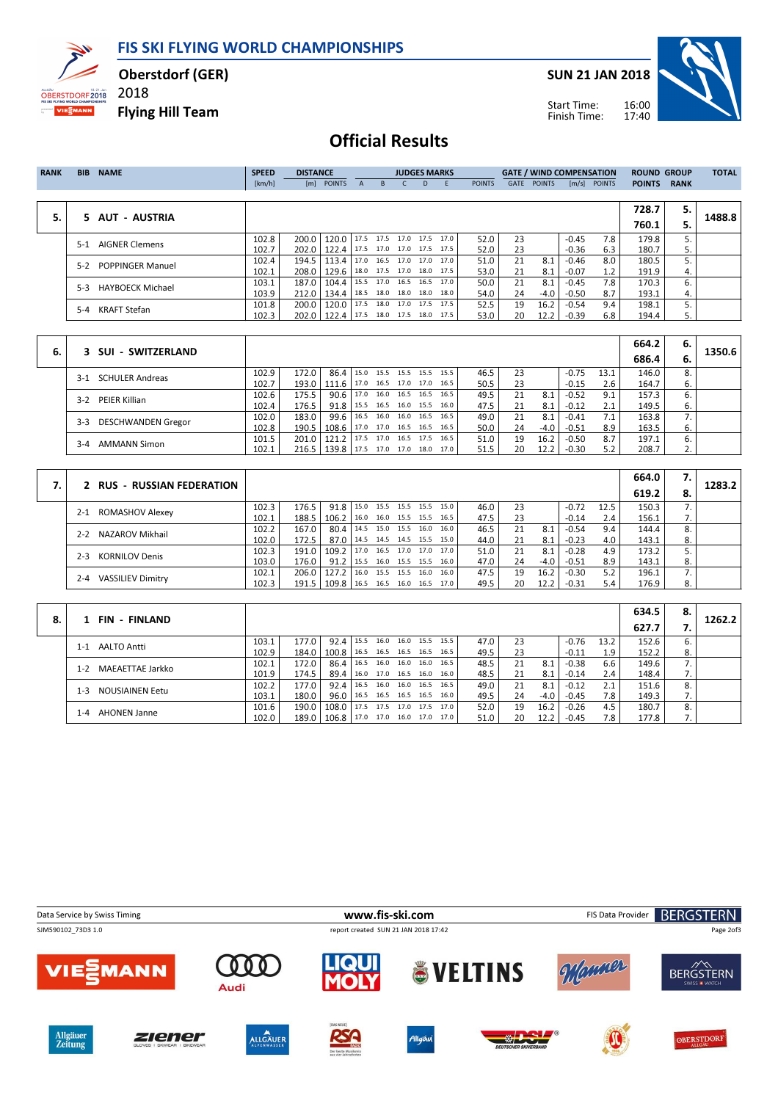FIS SKI FLYING WORLD CHAMPIONSHIPS



Oberstdorf (GER)

Flying Hill Team

2018

SUN 21 JAN 2018



Start Time: Finish Time:

## Official Results

| <b>RANK</b> |         | <b>BIB NAME</b>            | <b>SPEED</b>   | <b>DISTANCE</b> |                |                |                        | <b>JUDGES MARKS</b>    |              |              |               |          | <b>GATE / WIND COMPENSATION</b> |                    |              | <b>ROUND GROUP</b> |             | <b>TOTAL</b> |
|-------------|---------|----------------------------|----------------|-----------------|----------------|----------------|------------------------|------------------------|--------------|--------------|---------------|----------|---------------------------------|--------------------|--------------|--------------------|-------------|--------------|
|             |         |                            | [km/h]         |                 | [m] POINTS     | $\overline{A}$ | B                      | $\mathsf{C}$           | D            | E            | <b>POINTS</b> |          | GATE POINTS                     |                    | [m/s] POINTS | <b>POINTS</b>      | <b>RANK</b> |              |
|             |         |                            |                |                 |                |                |                        |                        |              |              |               |          |                                 |                    |              | 728.7              | 5.          |              |
| 5.          |         | 5 AUT - AUSTRIA            |                |                 |                |                |                        |                        |              |              |               |          |                                 |                    |              | 760.1              | 5.          | 1488.8       |
|             |         |                            | 102.8          | 200.0           | 120.0          |                | 17.5 17.5 17.0 17.5    |                        |              | 17.0         | 52.0          | 23       |                                 | $-0.45$            | 7.8          | 179.8              | 5.          |              |
|             |         | 5-1 AIGNER Clemens         | 102.7          | 202.0           | 122.4          | 17.5           | 17.0                   | 17.0                   | 17.5         | 17.5         | 52.0          | 23       |                                 | $-0.36$            | 6.3          | 180.7              | 5.          |              |
|             |         | 5-2 POPPINGER Manuel       | 102.4<br>102.1 | 194.5<br>208.0  | 113.4<br>129.6 | 17.0           | 16.5<br>18.0 17.5      | 17.0<br>17.0           | 17.0<br>18.0 | 17.0<br>17.5 | 51.0<br>53.0  | 21<br>21 | 8.1<br>8.1                      | $-0.46$<br>$-0.07$ | 8.0<br>1.2   | 180.5<br>191.9     | 5.<br>4.    |              |
|             |         |                            | 103.1          | 187.0           | 104.4          |                | 15.5 17.0              | 16.5                   | 16.5         | 17.0         | 50.0          | 21       | 8.1                             | $-0.45$            | 7.8          | 170.3              | 6.          |              |
|             |         | 5-3 HAYBOECK Michael       | 103.9          | 212.0           | 134.4          | 18.5           | 18.0                   | 18.0                   | 18.0         | 18.0         | 54.0          | 24       | $-4.0$                          | $-0.50$            | 8.7          | 193.1              | 4.          |              |
|             |         | 5-4 KRAFT Stefan           | 101.8<br>102.3 | 200.0<br>202.0  | 120.0<br>122.4 | 17.5           | 18.0<br>17.5 18.0      | 17.0<br>17.5           | 17.5<br>18.0 | 17.5<br>17.5 | 52.5<br>53.0  | 19<br>20 | 16.2<br>12.2                    | $-0.54$<br>$-0.39$ | 9.4<br>6.8   | 198.1<br>194.4     | 5.<br>5.    |              |
|             |         |                            |                |                 |                |                |                        |                        |              |              |               |          |                                 |                    |              |                    |             |              |
|             |         |                            |                |                 |                |                |                        |                        |              |              |               |          |                                 |                    |              | 664.2              | 6.          |              |
| 6.          |         | 3 SUI - SWITZERLAND        |                |                 |                |                |                        |                        |              |              |               |          |                                 |                    |              | 686.4              | 6.          | 1350.6       |
|             |         |                            | 102.9          | 172.0           | 86.4           | 15.0           | 15.5                   | 15.5                   | 15.5         | 15.5         | 46.5          | 23       |                                 | $-0.75$            | 13.1         | 146.0              | 8.          |              |
|             |         | 3-1 SCHULER Andreas        | 102.7          | 193.0           | 111.6          |                | 17.0 16.5              | 17.0                   | 17.0         | 16.5         | 50.5          | 23       |                                 | $-0.15$            | 2.6          | 164.7              | 6.          |              |
|             |         | 3-2 PEIER Killian          | 102.6<br>102.4 | 175.5<br>176.5  | 90.6<br>91.8   |                | 17.0 16.0<br>15.5 16.5 | 16.5<br>16.0           | 16.5<br>15.5 | 16.5<br>16.0 | 49.5<br>47.5  | 21<br>21 | 8.1<br>8.1                      | $-0.52$<br>$-0.12$ | 9.1<br>2.1   | 157.3<br>149.5     | 6.<br>6.    |              |
|             |         |                            | 102.0          | 183.0           | 99.6           |                | 16.5 16.0              | 16.0                   | 16.5         | 16.5         | 49.0          | 21       | 8.1                             | $-0.41$            | 7.1          | 163.8              | 7.          |              |
|             |         | 3-3 DESCHWANDEN Gregor     | 102.8          | 190.5           | 108.6          | 17.0           | 17.0                   | 16.5                   | 16.5         | 16.5         | 50.0          | 24       | $-4.0$                          | $-0.51$            | 8.9          | 163.5              | 6.          |              |
|             |         | 3-4 AMMANN Simon           | 101.5          | 201.0           | 121.2          |                | 17.5 17.0<br>17.5 17.0 | 16.5<br>17.0           | 17.5<br>18.0 | 16.5<br>17.0 | 51.0          | 19       | 16.2                            | $-0.50$            | 8.7          | 197.1              | 6.          |              |
|             |         |                            | 102.1          | 216.5           | 139.8          |                |                        |                        |              |              | 51.5          | 20       | 12.2                            | $-0.30$            | 5.2          | 208.7              | 2.          |              |
|             |         |                            |                |                 |                |                |                        |                        |              |              |               |          |                                 |                    |              | 664.0              | 7.          |              |
| 7.          |         | 2 RUS - RUSSIAN FEDERATION |                |                 |                |                |                        |                        |              |              |               |          |                                 |                    |              | 619.2              | 8.          | 1283.2       |
|             |         | 2-1 ROMASHOV Alexey        | 102.3          | 176.5           | 91.8           | 15.0           | 15.5                   | 15.5                   | 15.5         | 15.0         | 46.0          | 23       |                                 | $-0.72$            | 12.5         | 150.3              | 7.          |              |
|             |         |                            | 102.1<br>102.2 | 188.5<br>167.0  | 106.2<br>80.4  |                | 16.0 16.0<br>14.5 15.0 | 15.5 15.5 16.5<br>15.5 | 16.0         | 16.0         | 47.5<br>46.5  | 23<br>21 | 8.1                             | $-0.14$<br>$-0.54$ | 2.4<br>9.4   | 156.1<br>144.4     | 7.<br>8.    |              |
|             |         | 2-2 NAZAROV Mikhail        | 102.0          | 172.5           | 87.0           |                | 14.5 14.5              | 14.5                   | 15.5         | 15.0         | 44.0          | 21       | 8.1                             | $-0.23$            | 4.0          | 143.1              | 8.          |              |
|             |         | 2-3 KORNILOV Denis         | 102.3          | 191.0           | 109.2          | 17.0           | 16.5                   | 17.0                   | 17.0         | 17.0         | 51.0          | 21       | 8.1                             | $-0.28$            | 4.9          | 173.2              | 5.          |              |
|             |         |                            | 103.0<br>102.1 | 176.0<br>206.0  | 91.2<br>127.2  | 15.5<br>16.0   | 16.0<br>15.5           | 15.5<br>15.5           | 15.5<br>16.0 | 16.0<br>16.0 | 47.0<br>47.5  | 24<br>19 | $-4.0$<br>16.2                  | $-0.51$<br>$-0.30$ | 8.9<br>5.2   | 143.1<br>196.1     | 8.<br>7.    |              |
|             |         | 2-4 VASSILIEV Dimitry      | 102.3          | 191.5           | 109.8          |                | 16.5 16.5              | 16.0                   | 16.5         | 17.0         | 49.5          | 20       | 12.2                            | $-0.31$            | 5.4          | 176.9              | 8.          |              |
|             |         |                            |                |                 |                |                |                        |                        |              |              |               |          |                                 |                    |              |                    |             |              |
|             |         |                            |                |                 |                |                |                        |                        |              |              |               |          |                                 |                    |              | 634.5              | 8.          |              |
| 8.          |         | 1 FIN - FINLAND            |                |                 |                |                |                        |                        |              |              |               |          |                                 |                    |              | 627.7              | 7.          | 1262.2       |
|             |         | 1-1 AALTO Antti            | 103.1          | 177.0           | 92.4           | 15.5           | 16.0                   | 16.0                   | 15.5         | 15.5         | 47.0          | 23       |                                 | $-0.76$            | 13.2         | 152.6              | 6.          |              |
|             |         |                            | 102.9          | 184.0           | 100.8          | 16.5           | 16.5 16.5<br>16.0      | 16.5<br>16.0           | 16.5<br>16.0 | 16.5<br>16.5 | 49.5          | 23       |                                 | $-0.11$            | 1.9          | 152.2              | 8.<br>7.    |              |
|             | $1 - 2$ | MAEAETTAE Jarkko           | 102.1<br>101.9 | 172.0<br>174.5  | 86.4<br>89.4   |                | 16.0 17.0              | 16.5                   | 16.0         | 16.0         | 48.5<br>48.5  | 21<br>21 | 8.1<br>8.1                      | $-0.38$<br>$-0.14$ | 6.6<br>2.4   | 149.6<br>148.4     | 7.          |              |
|             | 1-3     | <b>NOUSIAINEN Eetu</b>     | 102.2          | 177.0           | 92.4           | 16.5           | 16.0                   | 16.0                   | 16.5         | 16.5         | 49.0          | 21       | 8.1                             | $-0.12$            | 2.1          | 151.6              | 8.          |              |
|             |         |                            | 103.1          | 180.0           | 96.0           | 16.5           | 16.5                   | 16.5                   | 16.5         | 16.0         | 49.5          | 24       | $-4.0$                          | $-0.45$            | 7.8          | 149.3              | 7.          |              |
|             |         | 1-4 AHONEN Janne           | 101.6<br>102.0 | 190.0<br>189.0  | 108.0<br>106.8 | 17.5           | 17.5<br>17.0 17.0      | 17.0<br>16.0           | 17.5<br>17.0 | 17.0<br>17.0 | 52.0<br>51.0  | 19<br>20 | 16.2<br>12.2                    | $-0.26$<br>$-0.45$ | 4.5<br>7.8   | 180.7<br>177.8     | 8.<br>7.    |              |